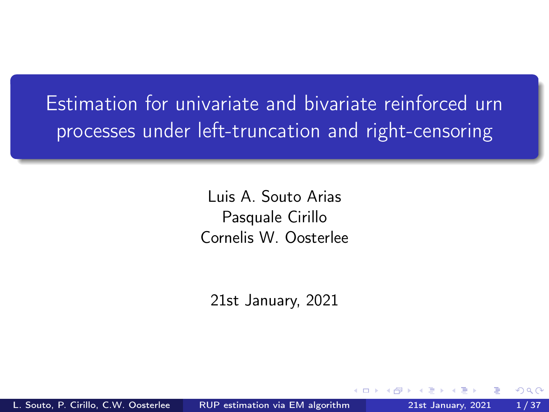<span id="page-0-0"></span>Estimation for univariate and bivariate reinforced urn processes under left-truncation and right-censoring

> Luis A. Souto Arias Pasquale Cirillo Cornelis W. Oosterlee

21st January, 2021

 $\Omega$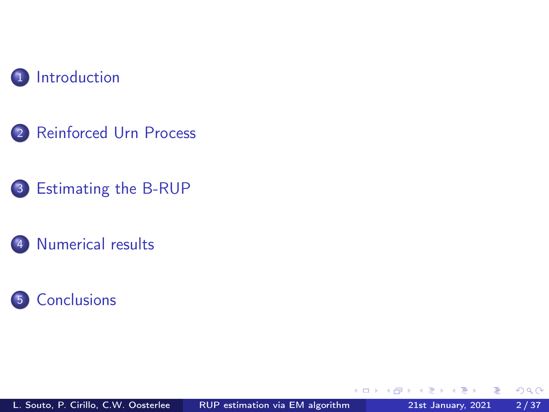

- [Reinforced Urn Process](#page-7-0)
- [Estimating the B-RUP](#page-18-0)
- [Numerical results](#page-25-0)



€⊡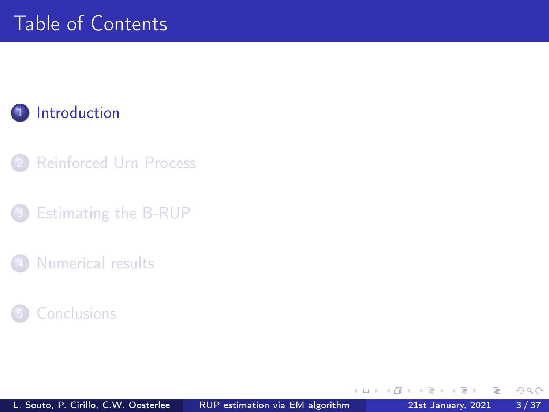#### <span id="page-2-0"></span>1 [Introduction](#page-2-0)

- **[Reinforced Urn Process](#page-7-0)**
- [Estimating the B-RUP](#page-18-0)
- [Numerical results](#page-25-0)



 $\leftarrow$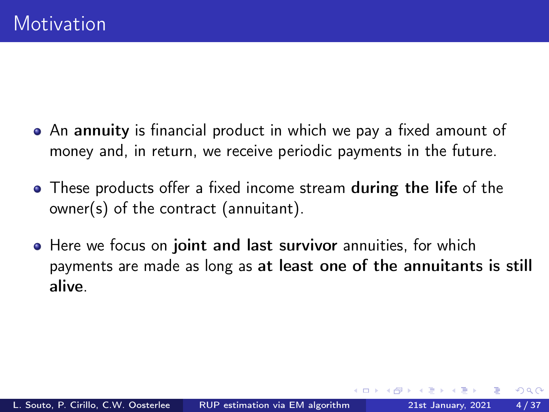- An annuity is financial product in which we pay a fixed amount of money and, in return, we receive periodic payments in the future.
- These products offer a fixed income stream **during the life** of the owner(s) of the contract (annuitant).
- Here we focus on joint and last survivor annuities, for which payments are made as long as at least one of the annuitants is still alive.

 $\Omega$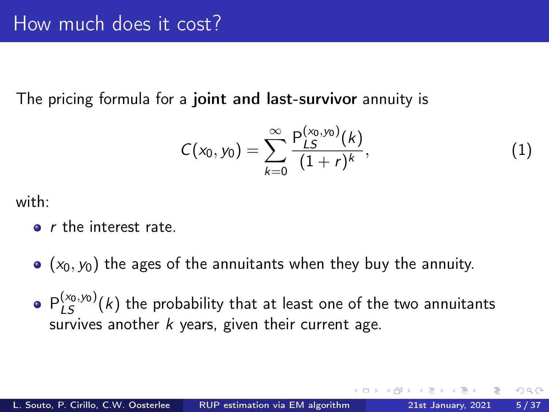The pricing formula for a joint and last-survivor annuity is

$$
C(x_0, y_0) = \sum_{k=0}^{\infty} \frac{P_{LS}^{(x_0, y_0)}(k)}{(1+r)^k},
$$
\n(1)

with:

- **o** *r* the interest rate.
- $\bullet$  ( $x_0, y_0$ ) the ages of the annuitants when they buy the annuity.
- $P_{LS}^{(\varkappa_0,\varkappa_0)}(k)$  the probability that at least one of the two annuitants survives another  $k$  years, given their current age.

つひい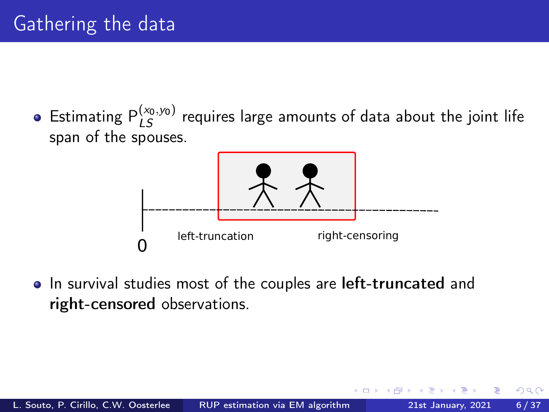Estimating  $P_{LS}^{(x_0,y_0)}$  requires large amounts of data about the joint life span of the spouses.



• In survival studies most of the couples are left-truncated and right-censored observations.

つひい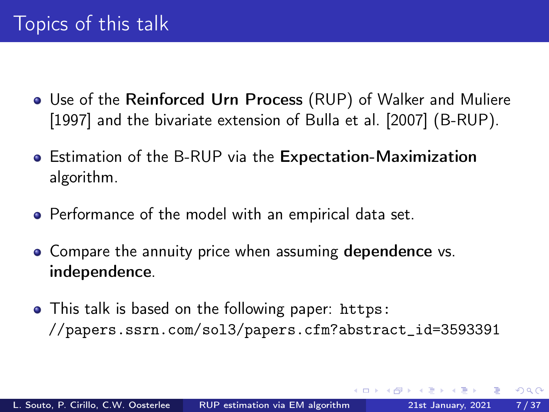- Use of the Reinforced Urn Process (RUP) of [Walker and Muliere](#page-35-0) [\[1997\]](#page-35-0) and the bivariate extension of [Bulla et al. \[2007\]](#page-35-1) (B-RUP).
- Estimation of the B-RUP via the Expectation-Maximization algorithm.
- Performance of the model with an empirical data set.
- Compare the annuity price when assuming dependence vs. independence.
- This talk is based on the following paper: [https:](https://papers.ssrn.com/sol3/papers.cfm?abstract_id=3593391) [//papers.ssrn.com/sol3/papers.cfm?abstract\\_id=3593391](https://papers.ssrn.com/sol3/papers.cfm?abstract_id=3593391)

 $\Omega$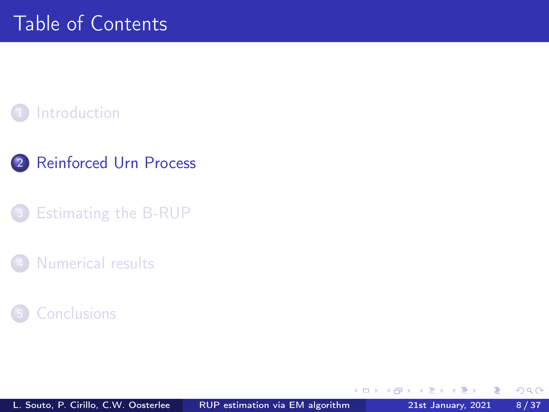#### <span id="page-7-0"></span>**[Introduction](#page-2-0)**

- 2 [Reinforced Urn Process](#page-7-0)
- [Estimating the B-RUP](#page-18-0)
- [Numerical results](#page-25-0)



4 0 8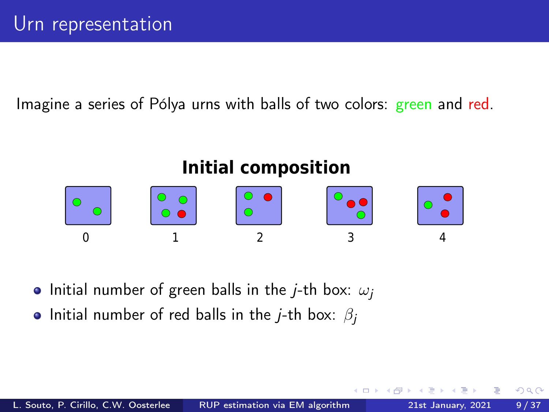Imagine a series of Pólya urns with balls of two colors: green and red.

# 0 1 2 3 4 **Initial composition**

• Initial number of green balls in the *j*-th box:  $\omega_i$ 

• Initial number of red balls in the *j*-th box:  $\beta_i$ 

 $\Omega$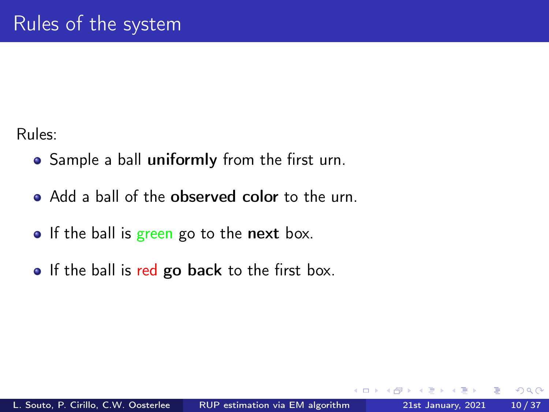Rules:

- Sample a ball uniformly from the first urn.
- Add a ball of the observed color to the urn.
- $\bullet$  If the ball is green go to the next box.
- **If the ball is red go back to the first box.**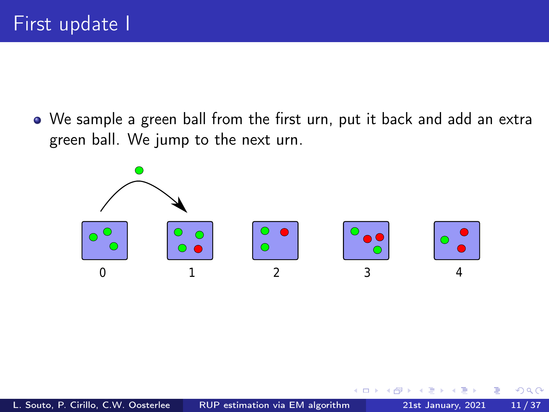We sample a green ball from the first urn, put it back and add an extra green ball. We jump to the next urn.



 $\Box$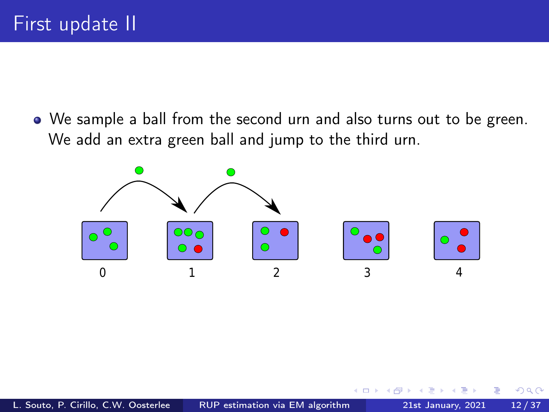We sample a ball from the second urn and also turns out to be green. We add an extra green ball and jump to the third urn.

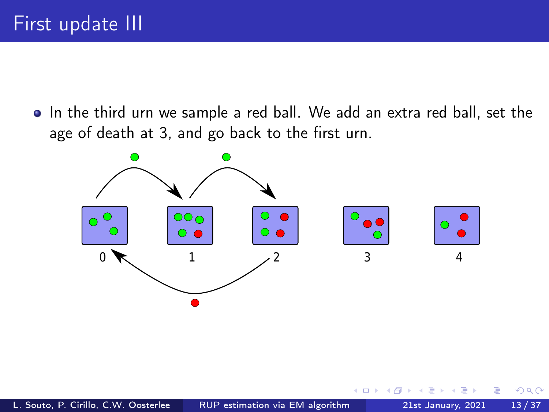• In the third urn we sample a red ball. We add an extra red ball, set the age of death at 3, and go back to the first urn.

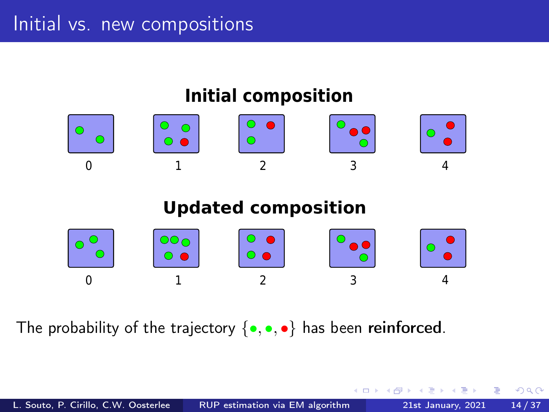

The probability of the trajectory  $\{ \bullet, \bullet, \bullet \}$  has been reinforced.

4 **D** F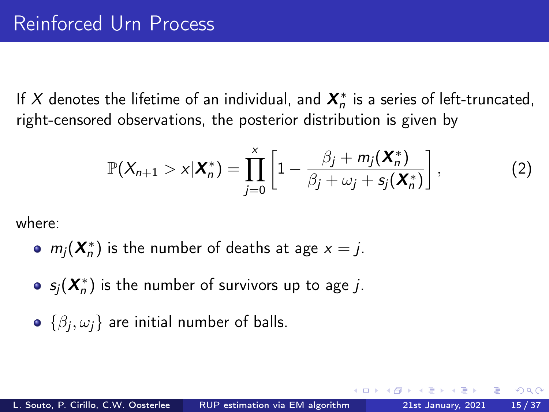If  $X$  denotes the lifetime of an individual, and  $\boldsymbol{X}_n^*$  is a series of left-truncated, right-censored observations, the posterior distribution is given by

$$
\mathbb{P}(X_{n+1} > x | \mathbf{X}_n^*) = \prod_{j=0}^x \left[ 1 - \frac{\beta_j + m_j(\mathbf{X}_n^*)}{\beta_j + \omega_j + s_j(\mathbf{X}_n^*)} \right],
$$
 (2)

where:

- $m_j(\bm{X}_n^*)$  is the number of deaths at age  $x = j$ .
- $\mathsf{s}_j(\bm{X}_n^*)$  is the number of survivors up to age  $j.$
- $\{\beta_j,\omega_j\}$  are initial number of balls.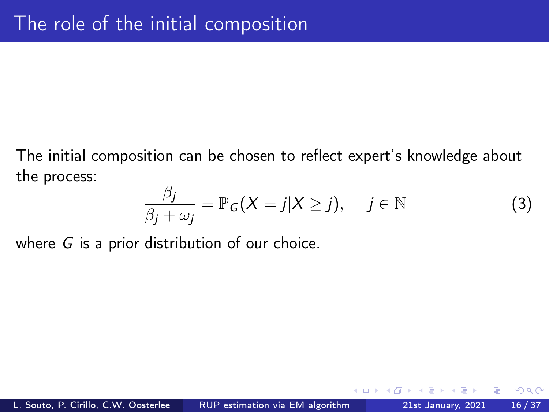The initial composition can be chosen to reflect expert's knowledge about the process:

$$
\frac{\beta_j}{\beta_j + \omega_j} = \mathbb{P}_G(X = j | X \ge j), \quad j \in \mathbb{N}
$$
 (3)

 $200$ 

where G is a prior distribution of our choice.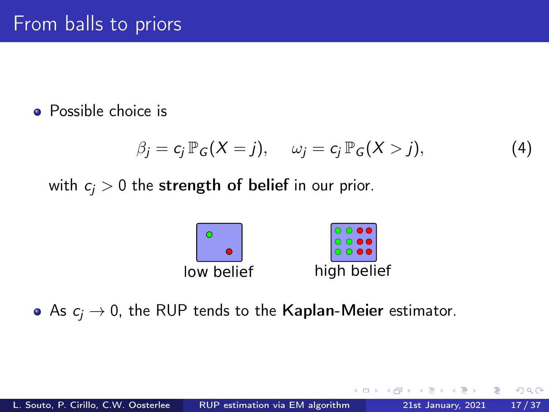#### **•** Possible choice is

$$
\beta_j = c_j \, \mathbb{P}_G(X = j), \qquad \omega_j = c_j \, \mathbb{P}_G(X > j), \tag{4}
$$

with  $c_i > 0$  the strength of belief in our prior.



• As  $c_i \rightarrow 0$ , the RUP tends to the Kaplan-Meier estimator.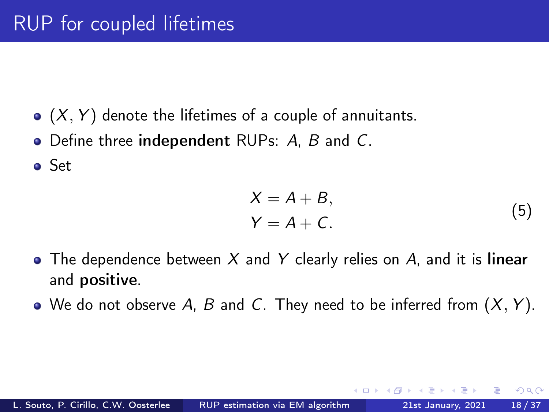- $\bullet$   $(X, Y)$  denote the lifetimes of a couple of annuitants.
- Define three independent RUPs: A, B and C.

Set

$$
X = A + B,
$$
  
\n
$$
Y = A + C.
$$
\n(5)

- The dependence between  $X$  and  $Y$  clearly relies on  $A$ , and it is linear and positive.
- $\bullet$  We do not observe A, B and C. They need to be inferred from  $(X, Y)$ .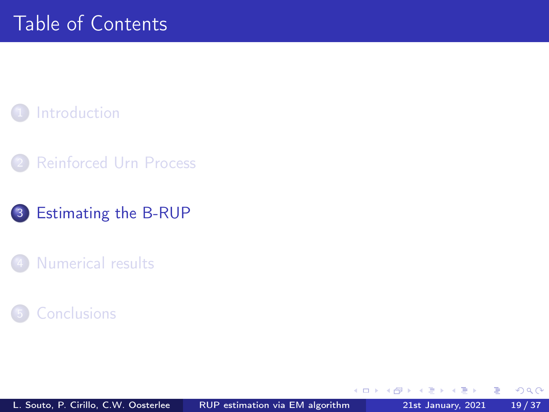#### <span id="page-18-0"></span>**[Introduction](#page-2-0)**

**[Reinforced Urn Process](#page-7-0)** 

#### 3 [Estimating the B-RUP](#page-18-0)

[Numerical results](#page-25-0)

#### **[Conclusions](#page-33-0)**

€⊡

 $QQ$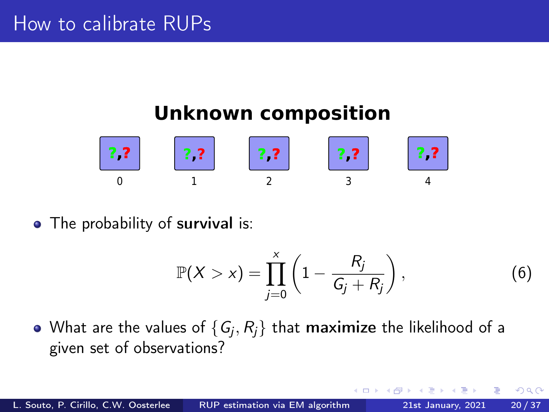# **Unknown composition**



• The probability of survival is:

$$
\mathbb{P}(X > x) = \prod_{j=0}^{x} \left(1 - \frac{R_j}{G_j + R_j}\right),\tag{6}
$$

What are the values of  $\{ \mathsf{G}_{\!j}, \mathsf{R}_{\!j} \}$  that  $\sf{maximize}$  the likelihood of a given set of observations?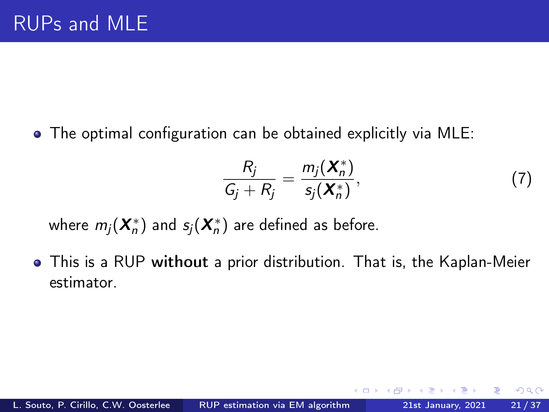The optimal configuration can be obtained explicitly via MLE:

$$
\frac{R_j}{G_j + R_j} = \frac{m_j(\boldsymbol{X}_n^*)}{s_j(\boldsymbol{X}_n^*)},\tag{7}
$$

 $200$ 

where  $m_j(\bm{X}_n^*)$  and  $s_j(\bm{X}_n^*)$  are defined as before.

í,

This is a RUP without a prior distribution. That is, the Kaplan-Meier estimator.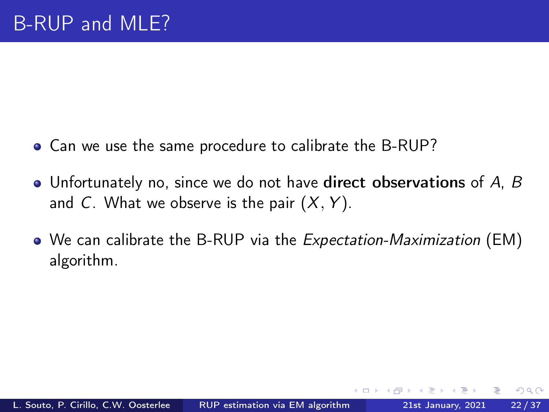- Can we use the same procedure to calibrate the B-RUP?
- Unfortunately no, since we do not have direct observations of A, B and C. What we observe is the pair  $(X, Y)$ .
- We can calibrate the B-RUP via the *Expectation-Maximization* (EM) algorithm.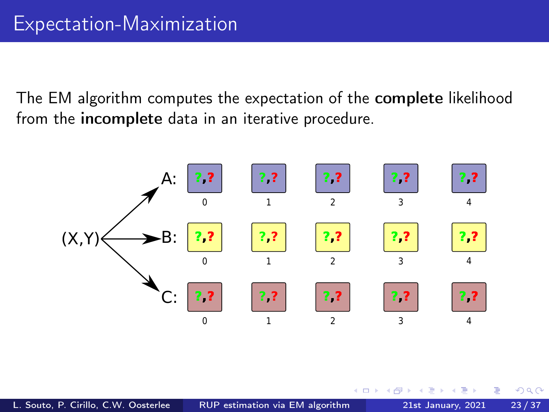The EM algorithm computes the expectation of the complete likelihood from the incomplete data in an iterative procedure.



 $\Box$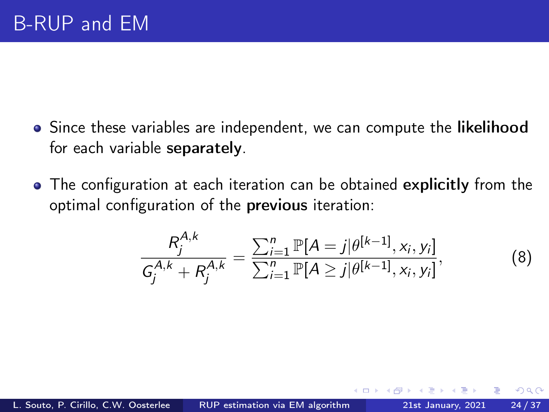- Since these variables are independent, we can compute the likelihood for each variable separately.
- The configuration at each iteration can be obtained explicitly from the optimal configuration of the previous iteration:

$$
\frac{R_j^{A,k}}{G_j^{A,k} + R_j^{A,k}} = \frac{\sum_{i=1}^n \mathbb{P}[A=j|\theta^{[k-1]}, x_i, y_i]}{\sum_{i=1}^n \mathbb{P}[A \ge j|\theta^{[k-1]}, x_i, y_i]},
$$
(8)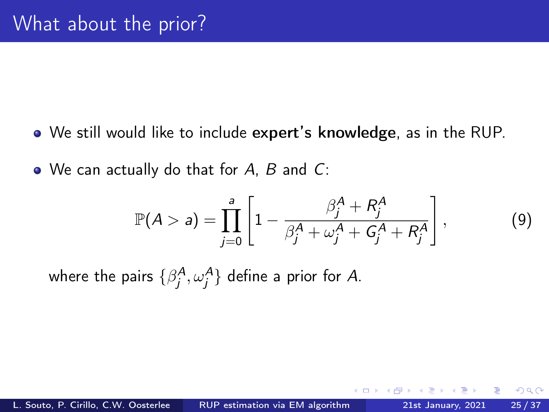- We still would like to include expert's knowledge, as in the RUP.
- We can actually do that for A, B and C:

$$
\mathbb{P}(A > a) = \prod_{j=0}^{a} \left[ 1 - \frac{\beta_j^A + R_j^A}{\beta_j^A + \omega_j^A + G_j^A + R_j^A} \right],
$$
 (9)

where the pairs  $\{\beta^A_j,\omega^A_j\}$  define a prior for  $A$ .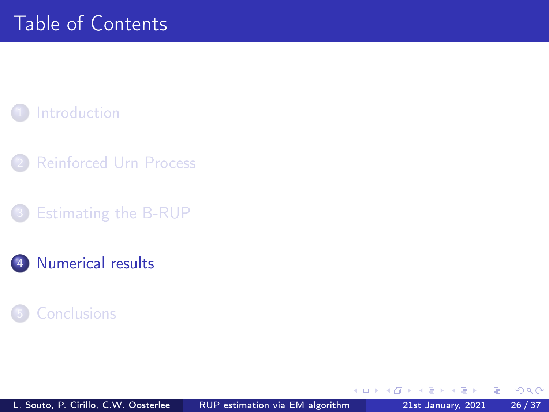#### <span id="page-25-0"></span>**[Introduction](#page-2-0)**

- **[Reinforced Urn Process](#page-7-0)**
- [Estimating the B-RUP](#page-18-0)
- 4 [Numerical results](#page-25-0)

#### **[Conclusions](#page-33-0)**

∍

ъ

€⊡

 $QQ$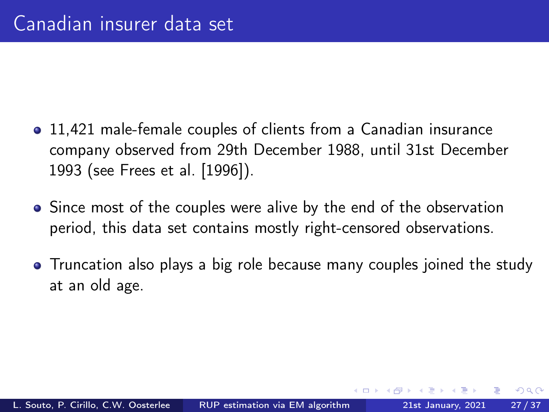- 11,421 male-female couples of clients from a Canadian insurance company observed from 29th December 1988, until 31st December 1993 (see [Frees et al. \[1996\]](#page-35-2)).
- Since most of the couples were alive by the end of the observation period, this data set contains mostly right-censored observations.
- Truncation also plays a big role because many couples joined the study at an old age.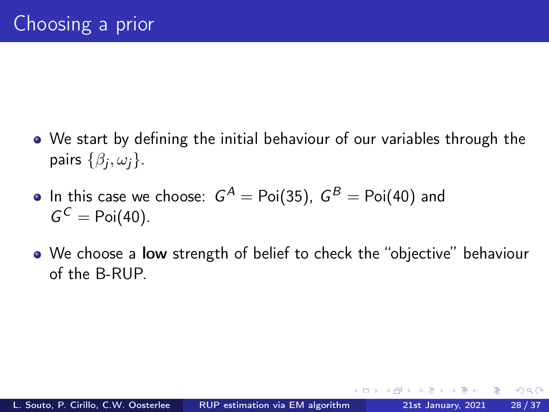- We start by defining the initial behaviour of our variables through the pairs  $\{\beta_j,\omega_j\}.$
- In this case we choose:  $\,G^{A} = \operatorname{Poi}(35), \; G^{B} = \operatorname{Poi}(40)$  and  $G^C = \text{Poi}(40)$ .
- We choose a low strength of belief to check the "objective" behaviour of the B-RUP.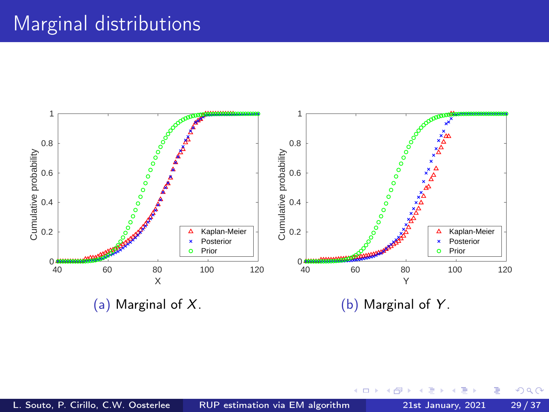# Marginal distributions



 $\Box$ 

Þ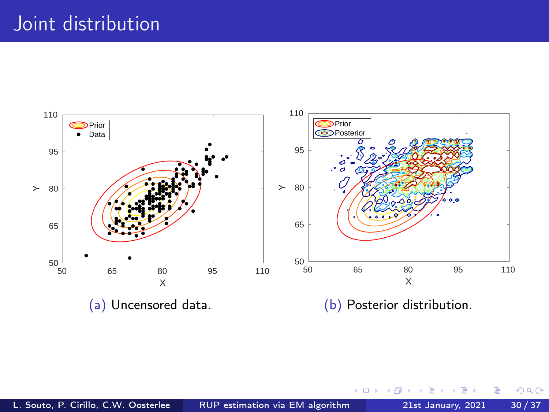# Joint distribution



э

∍

4 D F ×.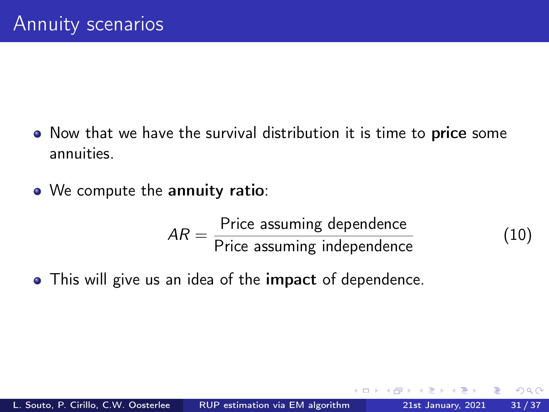- Now that we have the survival distribution it is time to price some annuities.
- We compute the annuity ratio:

$$
AR = \frac{\text{Price assuming dependence}}{\text{Price assuming independence}}
$$
 (10)

This will give us an idea of the impact of dependence.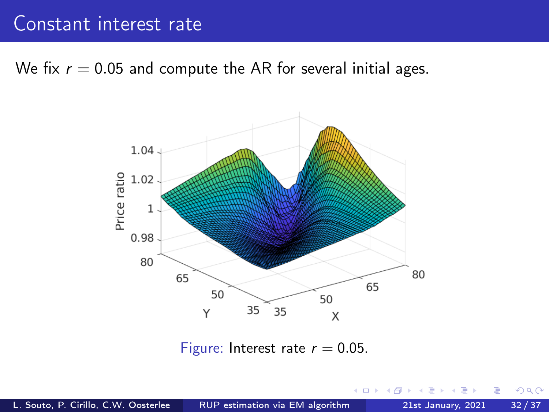#### Constant interest rate

We fix  $r = 0.05$  and compute the AR for several initial ages.



Figure: Interest rate  $r = 0.05$ .

 $QQ$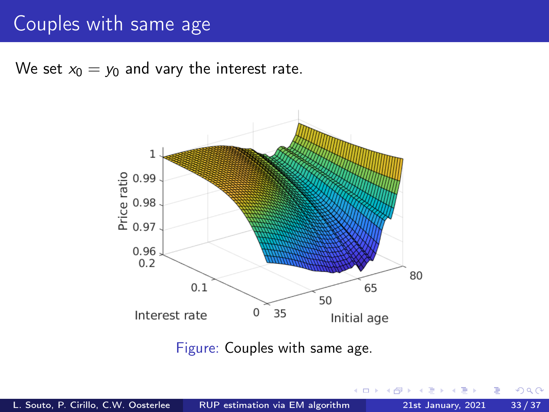# Couples with same age

We set  $x_0 = y_0$  and vary the interest rate.



Figure: Couples with same age.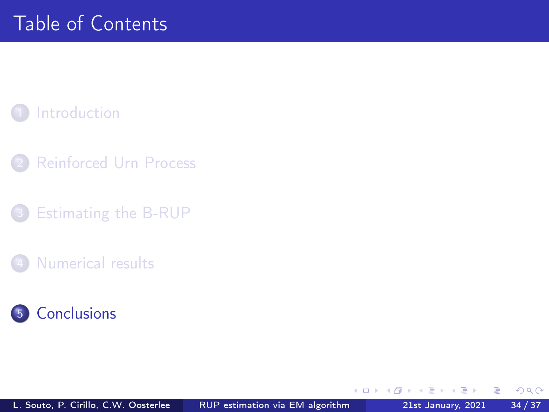#### <span id="page-33-0"></span>**[Introduction](#page-2-0)**

- **[Reinforced Urn Process](#page-7-0)**
- [Estimating the B-RUP](#page-18-0)
- [Numerical results](#page-25-0)



ъ

€⊡

 $QQ$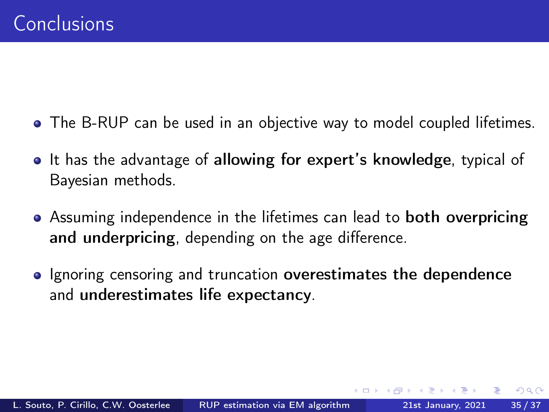- The B-RUP can be used in an objective way to model coupled lifetimes.
- It has the advantage of allowing for expert's knowledge, typical of Bayesian methods.
- Assuming independence in the lifetimes can lead to both overpricing and underpricing, depending on the age difference.
- Ignoring censoring and truncation overestimates the dependence and underestimates life expectancy.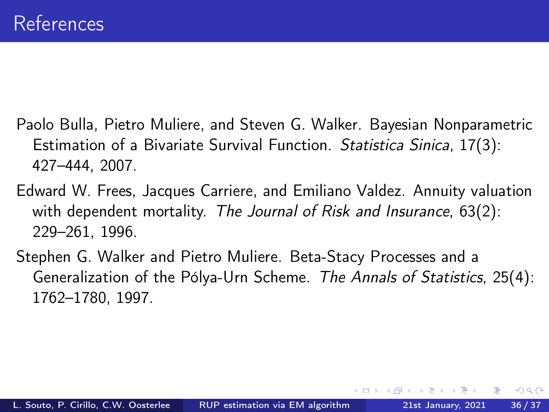- <span id="page-35-1"></span>Paolo Bulla, Pietro Muliere, and Steven G. Walker. Bayesian Nonparametric Estimation of a Bivariate Survival Function. Statistica Sinica, 17(3): 427–444, 2007.
- <span id="page-35-2"></span>Edward W. Frees, Jacques Carriere, and Emiliano Valdez. Annuity valuation with dependent mortality. The Journal of Risk and Insurance, 63(2): 229–261, 1996.
- <span id="page-35-0"></span>Stephen G. Walker and Pietro Muliere. Beta-Stacy Processes and a Generalization of the Pólya-Urn Scheme. The Annals of Statistics, 25(4): 1762–1780, 1997.

 $\Omega$